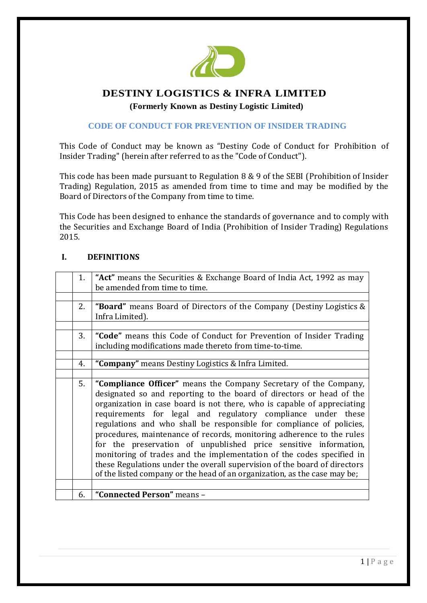

# **DESTINY LOGISTICS & INFRA LIMITED**

 **(Formerly Known as Destiny Logistic Limited)** 

# **CODE OF CONDUCT FOR PREVENTION OF INSIDER TRADING**

This Code of Conduct may be known as "Destiny Code of Conduct for Prohibition of Insider Trading" (herein after referred to as the "Code of Conduct").

This code has been made pursuant to Regulation 8 & 9 of the SEBI (Prohibition of Insider Trading) Regulation, 2015 as amended from time to time and may be modified by the Board of Directors of the Company from time to time.

This Code has been designed to enhance the standards of governance and to comply with the Securities and Exchange Board of India (Prohibition of Insider Trading) Regulations 2015.

# **I. DEFINITIONS**

| 1. | "Act" means the Securities & Exchange Board of India Act, 1992 as may                                                                                                                                                                                                                                                                                                                                                                                                                                                                                                                                                                                                                                                                       |  |  |
|----|---------------------------------------------------------------------------------------------------------------------------------------------------------------------------------------------------------------------------------------------------------------------------------------------------------------------------------------------------------------------------------------------------------------------------------------------------------------------------------------------------------------------------------------------------------------------------------------------------------------------------------------------------------------------------------------------------------------------------------------------|--|--|
|    | be amended from time to time.                                                                                                                                                                                                                                                                                                                                                                                                                                                                                                                                                                                                                                                                                                               |  |  |
|    |                                                                                                                                                                                                                                                                                                                                                                                                                                                                                                                                                                                                                                                                                                                                             |  |  |
| 2. | <b>"Board"</b> means Board of Directors of the Company (Destiny Logistics &<br>Infra Limited).                                                                                                                                                                                                                                                                                                                                                                                                                                                                                                                                                                                                                                              |  |  |
|    |                                                                                                                                                                                                                                                                                                                                                                                                                                                                                                                                                                                                                                                                                                                                             |  |  |
| 3. | "Code" means this Code of Conduct for Prevention of Insider Trading                                                                                                                                                                                                                                                                                                                                                                                                                                                                                                                                                                                                                                                                         |  |  |
|    | including modifications made thereto from time-to-time.                                                                                                                                                                                                                                                                                                                                                                                                                                                                                                                                                                                                                                                                                     |  |  |
|    |                                                                                                                                                                                                                                                                                                                                                                                                                                                                                                                                                                                                                                                                                                                                             |  |  |
| 4. | "Company" means Destiny Logistics & Infra Limited.                                                                                                                                                                                                                                                                                                                                                                                                                                                                                                                                                                                                                                                                                          |  |  |
|    |                                                                                                                                                                                                                                                                                                                                                                                                                                                                                                                                                                                                                                                                                                                                             |  |  |
|    | "Compliance Officer" means the Company Secretary of the Company,<br>designated so and reporting to the board of directors or head of the<br>organization in case board is not there, who is capable of appreciating<br>requirements for legal and regulatory compliance under these<br>regulations and who shall be responsible for compliance of policies,<br>procedures, maintenance of records, monitoring adherence to the rules<br>for the preservation of unpublished price sensitive information,<br>monitoring of trades and the implementation of the codes specified in<br>these Regulations under the overall supervision of the board of directors<br>of the listed company or the head of an organization, as the case may be; |  |  |
|    |                                                                                                                                                                                                                                                                                                                                                                                                                                                                                                                                                                                                                                                                                                                                             |  |  |
|    | "Connected Person" means -                                                                                                                                                                                                                                                                                                                                                                                                                                                                                                                                                                                                                                                                                                                  |  |  |
|    | 5.<br>6.                                                                                                                                                                                                                                                                                                                                                                                                                                                                                                                                                                                                                                                                                                                                    |  |  |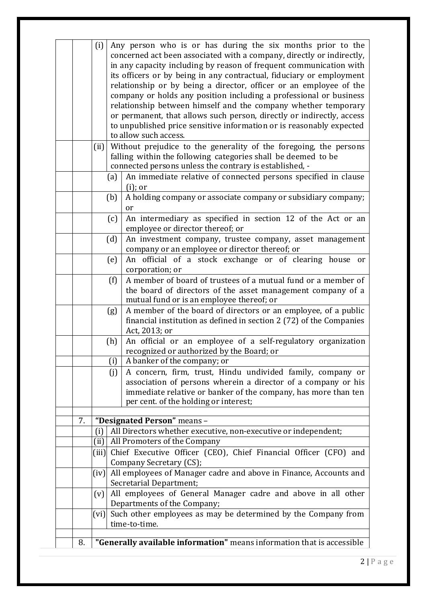|    | (i)<br>Any person who is or has during the six months prior to the<br>concerned act been associated with a company, directly or indirectly,<br>in any capacity including by reason of frequent communication with<br>its officers or by being in any contractual, fiduciary or employment<br>relationship or by being a director, officer or an employee of the<br>company or holds any position including a professional or business<br>relationship between himself and the company whether temporary |                                                                                                                                                                                                                                               |  |  |  |  |
|----|---------------------------------------------------------------------------------------------------------------------------------------------------------------------------------------------------------------------------------------------------------------------------------------------------------------------------------------------------------------------------------------------------------------------------------------------------------------------------------------------------------|-----------------------------------------------------------------------------------------------------------------------------------------------------------------------------------------------------------------------------------------------|--|--|--|--|
|    | or permanent, that allows such person, directly or indirectly, access<br>to unpublished price sensitive information or is reasonably expected<br>to allow such access.                                                                                                                                                                                                                                                                                                                                  |                                                                                                                                                                                                                                               |  |  |  |  |
|    | (iii)                                                                                                                                                                                                                                                                                                                                                                                                                                                                                                   | Without prejudice to the generality of the foregoing, the persons<br>falling within the following categories shall be deemed to be<br>connected persons unless the contrary is established, -                                                 |  |  |  |  |
|    |                                                                                                                                                                                                                                                                                                                                                                                                                                                                                                         | An immediate relative of connected persons specified in clause<br>(a)<br>$(i)$ ; or                                                                                                                                                           |  |  |  |  |
|    |                                                                                                                                                                                                                                                                                                                                                                                                                                                                                                         | A holding company or associate company or subsidiary company;<br>(b)<br><sub>or</sub>                                                                                                                                                         |  |  |  |  |
|    |                                                                                                                                                                                                                                                                                                                                                                                                                                                                                                         | An intermediary as specified in section 12 of the Act or an<br>(c)<br>employee or director thereof; or                                                                                                                                        |  |  |  |  |
|    |                                                                                                                                                                                                                                                                                                                                                                                                                                                                                                         | (d)<br>An investment company, trustee company, asset management<br>company or an employee or director thereof; or                                                                                                                             |  |  |  |  |
|    |                                                                                                                                                                                                                                                                                                                                                                                                                                                                                                         | An official of a stock exchange or of clearing house or<br>(e)<br>corporation; or                                                                                                                                                             |  |  |  |  |
|    |                                                                                                                                                                                                                                                                                                                                                                                                                                                                                                         | A member of board of trustees of a mutual fund or a member of<br>(f)<br>the board of directors of the asset management company of a<br>mutual fund or is an employee thereof; or                                                              |  |  |  |  |
|    |                                                                                                                                                                                                                                                                                                                                                                                                                                                                                                         | A member of the board of directors or an employee, of a public<br>(g)<br>financial institution as defined in section 2 (72) of the Companies<br>Act, 2013; or                                                                                 |  |  |  |  |
|    |                                                                                                                                                                                                                                                                                                                                                                                                                                                                                                         | An official or an employee of a self-regulatory organization<br>(h)<br>recognized or authorized by the Board; or                                                                                                                              |  |  |  |  |
|    |                                                                                                                                                                                                                                                                                                                                                                                                                                                                                                         | (i)<br>A banker of the company; or                                                                                                                                                                                                            |  |  |  |  |
|    |                                                                                                                                                                                                                                                                                                                                                                                                                                                                                                         | A concern, firm, trust, Hindu undivided family, company or<br>(j)<br>association of persons wherein a director of a company or his<br>immediate relative or banker of the company, has more than ten<br>per cent. of the holding or interest; |  |  |  |  |
| 7. |                                                                                                                                                                                                                                                                                                                                                                                                                                                                                                         | "Designated Person" means -                                                                                                                                                                                                                   |  |  |  |  |
|    | (i)                                                                                                                                                                                                                                                                                                                                                                                                                                                                                                     | All Directors whether executive, non-executive or independent;                                                                                                                                                                                |  |  |  |  |
|    | (iii)                                                                                                                                                                                                                                                                                                                                                                                                                                                                                                   | All Promoters of the Company                                                                                                                                                                                                                  |  |  |  |  |
|    |                                                                                                                                                                                                                                                                                                                                                                                                                                                                                                         | (iii) Chief Executive Officer (CEO), Chief Financial Officer (CFO) and                                                                                                                                                                        |  |  |  |  |
|    |                                                                                                                                                                                                                                                                                                                                                                                                                                                                                                         | Company Secretary (CS);<br>(iv) All employees of Manager cadre and above in Finance, Accounts and                                                                                                                                             |  |  |  |  |
|    |                                                                                                                                                                                                                                                                                                                                                                                                                                                                                                         | Secretarial Department;                                                                                                                                                                                                                       |  |  |  |  |
|    | (v)                                                                                                                                                                                                                                                                                                                                                                                                                                                                                                     | All employees of General Manager cadre and above in all other<br>Departments of the Company;                                                                                                                                                  |  |  |  |  |
|    |                                                                                                                                                                                                                                                                                                                                                                                                                                                                                                         | (vi) Such other employees as may be determined by the Company from                                                                                                                                                                            |  |  |  |  |
|    |                                                                                                                                                                                                                                                                                                                                                                                                                                                                                                         | time-to-time.                                                                                                                                                                                                                                 |  |  |  |  |
| 8. |                                                                                                                                                                                                                                                                                                                                                                                                                                                                                                         | "Generally available information" means information that is accessible                                                                                                                                                                        |  |  |  |  |
|    |                                                                                                                                                                                                                                                                                                                                                                                                                                                                                                         |                                                                                                                                                                                                                                               |  |  |  |  |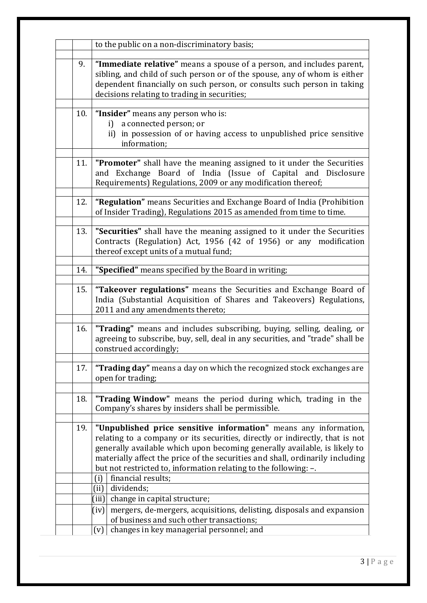|                                                             | to the public on a non-discriminatory basis;                                                                                                                                                                                                                                                                                                                                                                    |  |  |  |
|-------------------------------------------------------------|-----------------------------------------------------------------------------------------------------------------------------------------------------------------------------------------------------------------------------------------------------------------------------------------------------------------------------------------------------------------------------------------------------------------|--|--|--|
| 9.                                                          | "Immediate relative" means a spouse of a person, and includes parent,<br>sibling, and child of such person or of the spouse, any of whom is either<br>dependent financially on such person, or consults such person in taking<br>decisions relating to trading in securities;                                                                                                                                   |  |  |  |
| 10.                                                         | "Insider" means any person who is:<br>a connected person; or<br>i<br>ii) in possession of or having access to unpublished price sensitive<br>information;                                                                                                                                                                                                                                                       |  |  |  |
| 11.                                                         | "Promoter" shall have the meaning assigned to it under the Securities<br>and Exchange Board of India (Issue of Capital and Disclosure<br>Requirements) Regulations, 2009 or any modification thereof;                                                                                                                                                                                                           |  |  |  |
| 12.                                                         | "Regulation" means Securities and Exchange Board of India (Prohibition<br>of Insider Trading), Regulations 2015 as amended from time to time.                                                                                                                                                                                                                                                                   |  |  |  |
| 13.                                                         | "Securities" shall have the meaning assigned to it under the Securities<br>Contracts (Regulation) Act, 1956 (42 of 1956) or any modification<br>thereof except units of a mutual fund;                                                                                                                                                                                                                          |  |  |  |
| "Specified" means specified by the Board in writing;<br>14. |                                                                                                                                                                                                                                                                                                                                                                                                                 |  |  |  |
| 15.                                                         | "Takeover regulations" means the Securities and Exchange Board of<br>India (Substantial Acquisition of Shares and Takeovers) Regulations,<br>2011 and any amendments thereto;                                                                                                                                                                                                                                   |  |  |  |
| 16.                                                         | "Trading" means and includes subscribing, buying, selling, dealing, or<br>agreeing to subscribe, buy, sell, deal in any securities, and "trade" shall be<br>construed accordingly;                                                                                                                                                                                                                              |  |  |  |
| 17.                                                         | "Trading day" means a day on which the recognized stock exchanges are<br>open for trading;                                                                                                                                                                                                                                                                                                                      |  |  |  |
| 18.                                                         | "Trading Window" means the period during which, trading in the<br>Company's shares by insiders shall be permissible.                                                                                                                                                                                                                                                                                            |  |  |  |
| 19.                                                         | "Unpublished price sensitive information" means any information,<br>relating to a company or its securities, directly or indirectly, that is not<br>generally available which upon becoming generally available, is likely to<br>materially affect the price of the securities and shall, ordinarily including<br>but not restricted to, information relating to the following: -.<br>financial results;<br>(i) |  |  |  |
|                                                             | (ii) dividends;                                                                                                                                                                                                                                                                                                                                                                                                 |  |  |  |
|                                                             | $\vert$ (iii) change in capital structure;                                                                                                                                                                                                                                                                                                                                                                      |  |  |  |
|                                                             | mergers, de-mergers, acquisitions, delisting, disposals and expansion<br>(iv)<br>of business and such other transactions;                                                                                                                                                                                                                                                                                       |  |  |  |
|                                                             | changes in key managerial personnel; and<br>(v)                                                                                                                                                                                                                                                                                                                                                                 |  |  |  |
|                                                             |                                                                                                                                                                                                                                                                                                                                                                                                                 |  |  |  |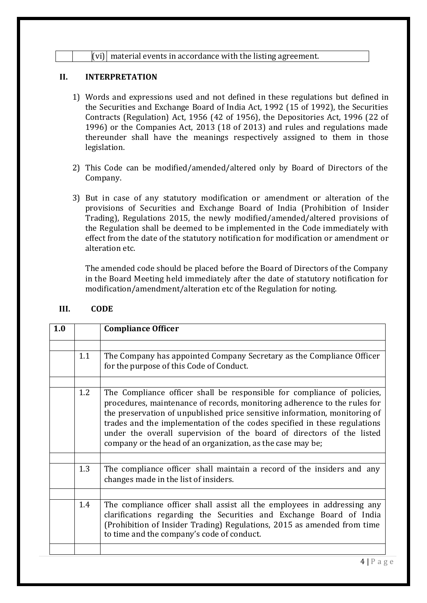### $|(\text{vi})|$  material events in accordance with the listing agreement.

# **II. INTERPRETATION**

- 1) Words and expressions used and not defined in these regulations but defined in the Securities and Exchange Board of India Act, 1992 (15 of 1992), the Securities Contracts (Regulation) Act, 1956 (42 of 1956), the Depositories Act, 1996 (22 of 1996) or the Companies Act, 2013 (18 of 2013) and rules and regulations made thereunder shall have the meanings respectively assigned to them in those legislation.
- 2) This Code can be modified/amended/altered only by Board of Directors of the Company.
- 3) But in case of any statutory modification or amendment or alteration of the provisions of Securities and Exchange Board of India (Prohibition of Insider Trading), Regulations 2015, the newly modified/amended/altered provisions of the Regulation shall be deemed to be implemented in the Code immediately with effect from the date of the statutory notification for modification or amendment or alteration etc.

The amended code should be placed before the Board of Directors of the Company in the Board Meeting held immediately after the date of statutory notification for modification/amendment/alteration etc of the Regulation for noting.

| 1.0 |     | <b>Compliance Officer</b>                                                                                                                                                                                                                                                                                                                                                                                                                               |
|-----|-----|---------------------------------------------------------------------------------------------------------------------------------------------------------------------------------------------------------------------------------------------------------------------------------------------------------------------------------------------------------------------------------------------------------------------------------------------------------|
|     | 1.1 | The Company has appointed Company Secretary as the Compliance Officer<br>for the purpose of this Code of Conduct.                                                                                                                                                                                                                                                                                                                                       |
|     | 1.2 | The Compliance officer shall be responsible for compliance of policies,<br>procedures, maintenance of records, monitoring adherence to the rules for<br>the preservation of unpublished price sensitive information, monitoring of<br>trades and the implementation of the codes specified in these regulations<br>under the overall supervision of the board of directors of the listed<br>company or the head of an organization, as the case may be; |
|     |     |                                                                                                                                                                                                                                                                                                                                                                                                                                                         |
|     | 1.3 | The compliance officer shall maintain a record of the insiders and any<br>changes made in the list of insiders.                                                                                                                                                                                                                                                                                                                                         |
|     |     |                                                                                                                                                                                                                                                                                                                                                                                                                                                         |
|     | 1.4 | The compliance officer shall assist all the employees in addressing any<br>clarifications regarding the Securities and Exchange Board of India<br>(Prohibition of Insider Trading) Regulations, 2015 as amended from time<br>to time and the company's code of conduct.                                                                                                                                                                                 |
|     |     |                                                                                                                                                                                                                                                                                                                                                                                                                                                         |

# **III. CODE**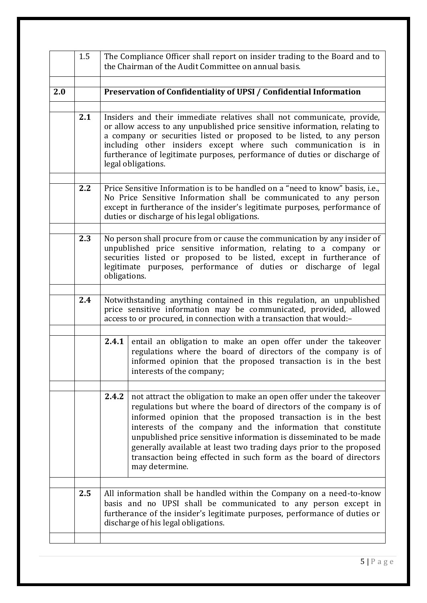|     | 1.5 | The Compliance Officer shall report on insider trading to the Board and to<br>the Chairman of the Audit Committee on annual basis.                                                                                                                                                                                                                                                                                                                                                                                     |  |  |  |  |  |
|-----|-----|------------------------------------------------------------------------------------------------------------------------------------------------------------------------------------------------------------------------------------------------------------------------------------------------------------------------------------------------------------------------------------------------------------------------------------------------------------------------------------------------------------------------|--|--|--|--|--|
| 2.0 |     | Preservation of Confidentiality of UPSI / Confidential Information                                                                                                                                                                                                                                                                                                                                                                                                                                                     |  |  |  |  |  |
|     | 2.1 | Insiders and their immediate relatives shall not communicate, provide,<br>or allow access to any unpublished price sensitive information, relating to<br>a company or securities listed or proposed to be listed, to any person<br>including other insiders except where such communication is in<br>furtherance of legitimate purposes, performance of duties or discharge of<br>legal obligations.                                                                                                                   |  |  |  |  |  |
|     | 2.2 | Price Sensitive Information is to be handled on a "need to know" basis, i.e.,<br>No Price Sensitive Information shall be communicated to any person<br>except in furtherance of the insider's legitimate purposes, performance of<br>duties or discharge of his legal obligations.                                                                                                                                                                                                                                     |  |  |  |  |  |
|     | 2.3 | No person shall procure from or cause the communication by any insider of<br>unpublished price sensitive information, relating to a company or<br>securities listed or proposed to be listed, except in furtherance of<br>legitimate purposes, performance of duties or discharge of legal<br>obligations.                                                                                                                                                                                                             |  |  |  |  |  |
|     | 2.4 | Notwithstanding anything contained in this regulation, an unpublished<br>price sensitive information may be communicated, provided, allowed<br>access to or procured, in connection with a transaction that would:-                                                                                                                                                                                                                                                                                                    |  |  |  |  |  |
|     |     | 2.4.1<br>entail an obligation to make an open offer under the takeover<br>regulations where the board of directors of the company is of<br>informed opinion that the proposed transaction is in the best<br>interests of the company;                                                                                                                                                                                                                                                                                  |  |  |  |  |  |
|     |     | not attract the obligation to make an open offer under the takeover<br>2.4.2<br>regulations but where the board of directors of the company is of<br>informed opinion that the proposed transaction is in the best<br>interests of the company and the information that constitute<br>unpublished price sensitive information is disseminated to be made<br>generally available at least two trading days prior to the proposed<br>transaction being effected in such form as the board of directors<br>may determine. |  |  |  |  |  |
|     | 2.5 | All information shall be handled within the Company on a need-to-know<br>basis and no UPSI shall be communicated to any person except in<br>furtherance of the insider's legitimate purposes, performance of duties or<br>discharge of his legal obligations.                                                                                                                                                                                                                                                          |  |  |  |  |  |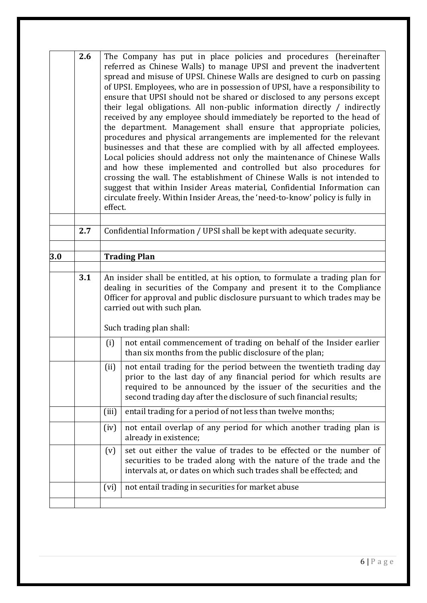|     | 2.6 |                                                                                                                                                                                                                                                                                              | The Company has put in place policies and procedures (hereinafter<br>referred as Chinese Walls) to manage UPSI and prevent the inadvertent<br>spread and misuse of UPSI. Chinese Walls are designed to curb on passing<br>of UPSI. Employees, who are in possession of UPSI, have a responsibility to<br>ensure that UPSI should not be shared or disclosed to any persons except<br>their legal obligations. All non-public information directly / indirectly<br>received by any employee should immediately be reported to the head of<br>the department. Management shall ensure that appropriate policies,<br>procedures and physical arrangements are implemented for the relevant<br>businesses and that these are complied with by all affected employees.<br>Local policies should address not only the maintenance of Chinese Walls<br>and how these implemented and controlled but also procedures for<br>crossing the wall. The establishment of Chinese Walls is not intended to<br>suggest that within Insider Areas material, Confidential Information can<br>circulate freely. Within Insider Areas, the 'need-to-know' policy is fully in<br>effect. |  |  |  |  |  |
|-----|-----|----------------------------------------------------------------------------------------------------------------------------------------------------------------------------------------------------------------------------------------------------------------------------------------------|----------------------------------------------------------------------------------------------------------------------------------------------------------------------------------------------------------------------------------------------------------------------------------------------------------------------------------------------------------------------------------------------------------------------------------------------------------------------------------------------------------------------------------------------------------------------------------------------------------------------------------------------------------------------------------------------------------------------------------------------------------------------------------------------------------------------------------------------------------------------------------------------------------------------------------------------------------------------------------------------------------------------------------------------------------------------------------------------------------------------------------------------------------------------|--|--|--|--|--|
|     |     |                                                                                                                                                                                                                                                                                              |                                                                                                                                                                                                                                                                                                                                                                                                                                                                                                                                                                                                                                                                                                                                                                                                                                                                                                                                                                                                                                                                                                                                                                      |  |  |  |  |  |
|     | 2.7 |                                                                                                                                                                                                                                                                                              | Confidential Information / UPSI shall be kept with adequate security.                                                                                                                                                                                                                                                                                                                                                                                                                                                                                                                                                                                                                                                                                                                                                                                                                                                                                                                                                                                                                                                                                                |  |  |  |  |  |
| 3.0 |     |                                                                                                                                                                                                                                                                                              | <b>Trading Plan</b>                                                                                                                                                                                                                                                                                                                                                                                                                                                                                                                                                                                                                                                                                                                                                                                                                                                                                                                                                                                                                                                                                                                                                  |  |  |  |  |  |
|     |     |                                                                                                                                                                                                                                                                                              |                                                                                                                                                                                                                                                                                                                                                                                                                                                                                                                                                                                                                                                                                                                                                                                                                                                                                                                                                                                                                                                                                                                                                                      |  |  |  |  |  |
|     | 3.1 |                                                                                                                                                                                                                                                                                              | An insider shall be entitled, at his option, to formulate a trading plan for<br>dealing in securities of the Company and present it to the Compliance<br>Officer for approval and public disclosure pursuant to which trades may be<br>carried out with such plan.<br>Such trading plan shall:                                                                                                                                                                                                                                                                                                                                                                                                                                                                                                                                                                                                                                                                                                                                                                                                                                                                       |  |  |  |  |  |
|     |     | not entail commencement of trading on behalf of the Insider earlier<br>(i)                                                                                                                                                                                                                   |                                                                                                                                                                                                                                                                                                                                                                                                                                                                                                                                                                                                                                                                                                                                                                                                                                                                                                                                                                                                                                                                                                                                                                      |  |  |  |  |  |
|     |     |                                                                                                                                                                                                                                                                                              | than six months from the public disclosure of the plan;                                                                                                                                                                                                                                                                                                                                                                                                                                                                                                                                                                                                                                                                                                                                                                                                                                                                                                                                                                                                                                                                                                              |  |  |  |  |  |
|     |     | not entail trading for the period between the twentieth trading day<br>(ii)<br>prior to the last day of any financial period for which results are<br>required to be announced by the issuer of the securities and the<br>second trading day after the disclosure of such financial results; |                                                                                                                                                                                                                                                                                                                                                                                                                                                                                                                                                                                                                                                                                                                                                                                                                                                                                                                                                                                                                                                                                                                                                                      |  |  |  |  |  |
|     |     | (iii)                                                                                                                                                                                                                                                                                        | entail trading for a period of not less than twelve months;                                                                                                                                                                                                                                                                                                                                                                                                                                                                                                                                                                                                                                                                                                                                                                                                                                                                                                                                                                                                                                                                                                          |  |  |  |  |  |
|     |     | not entail overlap of any period for which another trading plan is<br>(iv)<br>already in existence;                                                                                                                                                                                          |                                                                                                                                                                                                                                                                                                                                                                                                                                                                                                                                                                                                                                                                                                                                                                                                                                                                                                                                                                                                                                                                                                                                                                      |  |  |  |  |  |
|     |     | set out either the value of trades to be effected or the number of<br>(v)<br>securities to be traded along with the nature of the trade and the<br>intervals at, or dates on which such trades shall be effected; and                                                                        |                                                                                                                                                                                                                                                                                                                                                                                                                                                                                                                                                                                                                                                                                                                                                                                                                                                                                                                                                                                                                                                                                                                                                                      |  |  |  |  |  |
|     |     | (vi)                                                                                                                                                                                                                                                                                         | not entail trading in securities for market abuse                                                                                                                                                                                                                                                                                                                                                                                                                                                                                                                                                                                                                                                                                                                                                                                                                                                                                                                                                                                                                                                                                                                    |  |  |  |  |  |
|     |     |                                                                                                                                                                                                                                                                                              |                                                                                                                                                                                                                                                                                                                                                                                                                                                                                                                                                                                                                                                                                                                                                                                                                                                                                                                                                                                                                                                                                                                                                                      |  |  |  |  |  |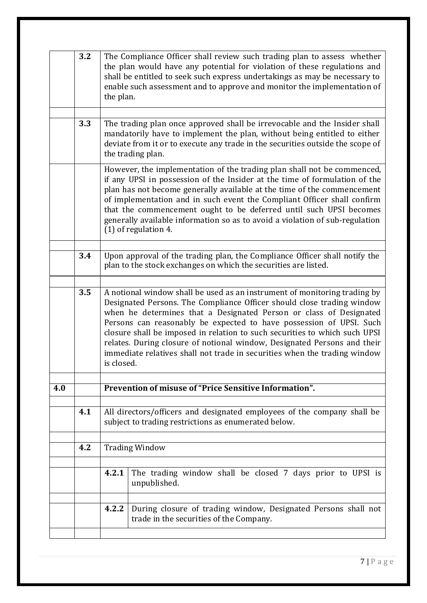| the plan would have any potential for violation of these regulations and<br>shall be entitled to seek such express undertakings as may be necessary to<br>enable such assessment and to approve and monitor the implementation of                                                                                                                                                                                                                                                                                                                            |  |  |  |  |
|--------------------------------------------------------------------------------------------------------------------------------------------------------------------------------------------------------------------------------------------------------------------------------------------------------------------------------------------------------------------------------------------------------------------------------------------------------------------------------------------------------------------------------------------------------------|--|--|--|--|
| The trading plan once approved shall be irrevocable and the Insider shall<br>mandatorily have to implement the plan, without being entitled to either<br>deviate from it or to execute any trade in the securities outside the scope of                                                                                                                                                                                                                                                                                                                      |  |  |  |  |
| However, the implementation of the trading plan shall not be commenced,<br>if any UPSI in possession of the Insider at the time of formulation of the<br>plan has not become generally available at the time of the commencement<br>of implementation and in such event the Compliant Officer shall confirm<br>that the commencement ought to be deferred until such UPSI becomes<br>generally available information so as to avoid a violation of sub-regulation                                                                                            |  |  |  |  |
| Upon approval of the trading plan, the Compliance Officer shall notify the                                                                                                                                                                                                                                                                                                                                                                                                                                                                                   |  |  |  |  |
| 3.5<br>A notional window shall be used as an instrument of monitoring trading by<br>Designated Persons. The Compliance Officer should close trading window<br>when he determines that a Designated Person or class of Designated<br>Persons can reasonably be expected to have possession of UPSI. Such<br>closure shall be imposed in relation to such securities to which such UPSI<br>relates. During closure of notional window, Designated Persons and their<br>immediate relatives shall not trade in securities when the trading window<br>is closed. |  |  |  |  |
| Prevention of misuse of "Price Sensitive Information".                                                                                                                                                                                                                                                                                                                                                                                                                                                                                                       |  |  |  |  |
| All directors/officers and designated employees of the company shall be                                                                                                                                                                                                                                                                                                                                                                                                                                                                                      |  |  |  |  |
|                                                                                                                                                                                                                                                                                                                                                                                                                                                                                                                                                              |  |  |  |  |
| The trading window shall be closed 7 days prior to UPSI is                                                                                                                                                                                                                                                                                                                                                                                                                                                                                                   |  |  |  |  |
| 4.2.2<br>During closure of trading window, Designated Persons shall not<br>trade in the securities of the Company.                                                                                                                                                                                                                                                                                                                                                                                                                                           |  |  |  |  |
|                                                                                                                                                                                                                                                                                                                                                                                                                                                                                                                                                              |  |  |  |  |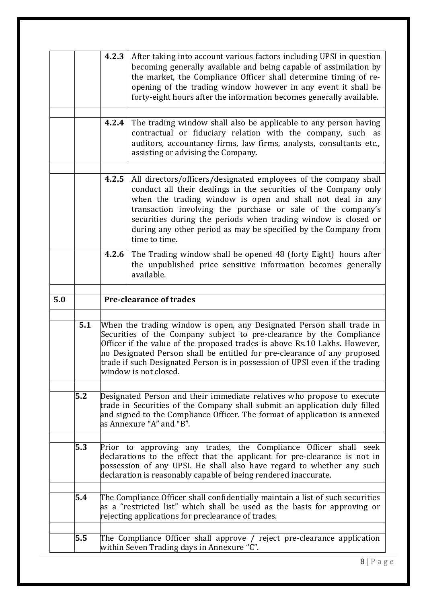|     |     | 4.2.3<br>After taking into account various factors including UPSI in question<br>becoming generally available and being capable of assimilation by<br>the market, the Compliance Officer shall determine timing of re-<br>opening of the trading window however in any event it shall be<br>forty-eight hours after the information becomes generally available.                                                                |  |  |  |  |
|-----|-----|---------------------------------------------------------------------------------------------------------------------------------------------------------------------------------------------------------------------------------------------------------------------------------------------------------------------------------------------------------------------------------------------------------------------------------|--|--|--|--|
|     |     | The trading window shall also be applicable to any person having<br>4.2.4<br>contractual or fiduciary relation with the company, such as<br>auditors, accountancy firms, law firms, analysts, consultants etc.,<br>assisting or advising the Company.                                                                                                                                                                           |  |  |  |  |
|     |     | 4.2.5<br>All directors/officers/designated employees of the company shall<br>conduct all their dealings in the securities of the Company only<br>when the trading window is open and shall not deal in any<br>transaction involving the purchase or sale of the company's<br>securities during the periods when trading window is closed or<br>during any other period as may be specified by the Company from<br>time to time. |  |  |  |  |
|     |     | The Trading window shall be opened 48 (forty Eight) hours after<br>4.2.6<br>the unpublished price sensitive information becomes generally<br>available.                                                                                                                                                                                                                                                                         |  |  |  |  |
| 5.0 |     | <b>Pre-clearance of trades</b>                                                                                                                                                                                                                                                                                                                                                                                                  |  |  |  |  |
|     | 5.1 | When the trading window is open, any Designated Person shall trade in<br>Securities of the Company subject to pre-clearance by the Compliance<br>Officer if the value of the proposed trades is above Rs.10 Lakhs. However,<br>no Designated Person shall be entitled for pre-clearance of any proposed<br>trade if such Designated Person is in possession of UPSI even if the trading<br>window is not closed.                |  |  |  |  |
|     | 5.2 | Designated Person and their immediate relatives who propose to execute<br>trade in Securities of the Company shall submit an application duly filled<br>and signed to the Compliance Officer. The format of application is annexed<br>as Annexure "A" and "B".                                                                                                                                                                  |  |  |  |  |
|     | 5.3 | Prior to approving any trades, the Compliance Officer shall seek<br>declarations to the effect that the applicant for pre-clearance is not in<br>possession of any UPSI. He shall also have regard to whether any such<br>declaration is reasonably capable of being rendered inaccurate.                                                                                                                                       |  |  |  |  |
|     | 5.4 | The Compliance Officer shall confidentially maintain a list of such securities<br>as a "restricted list" which shall be used as the basis for approving or<br>rejecting applications for preclearance of trades.                                                                                                                                                                                                                |  |  |  |  |
|     | 5.5 | The Compliance Officer shall approve / reject pre-clearance application<br>within Seven Trading days in Annexure "C".                                                                                                                                                                                                                                                                                                           |  |  |  |  |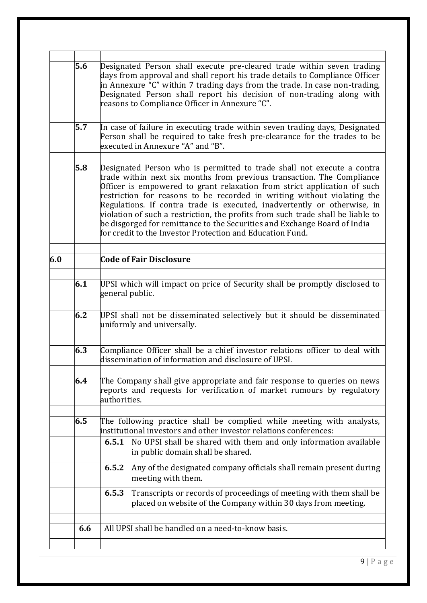|     | 5.6 | Designated Person shall execute pre-cleared trade within seven trading<br>days from approval and shall report his trade details to Compliance Officer<br>in Annexure "C" within 7 trading days from the trade. In case non-trading,<br>Designated Person shall report his decision of non-trading along with<br>reasons to Compliance Officer in Annexure "C".                                                                                                                                                                                                                                                   |  |  |  |  |
|-----|-----|------------------------------------------------------------------------------------------------------------------------------------------------------------------------------------------------------------------------------------------------------------------------------------------------------------------------------------------------------------------------------------------------------------------------------------------------------------------------------------------------------------------------------------------------------------------------------------------------------------------|--|--|--|--|
|     | 5.7 | In case of failure in executing trade within seven trading days, Designated<br>Person shall be required to take fresh pre-clearance for the trades to be<br>executed in Annexure "A" and "B".                                                                                                                                                                                                                                                                                                                                                                                                                    |  |  |  |  |
|     | 5.8 | Designated Person who is permitted to trade shall not execute a contra<br>trade within next six months from previous transaction. The Compliance<br>Officer is empowered to grant relaxation from strict application of such<br>restriction for reasons to be recorded in writing without violating the<br>Regulations. If contra trade is executed, inadvertently or otherwise, in<br>violation of such a restriction, the profits from such trade shall be liable to<br>be disgorged for remittance to the Securities and Exchange Board of India<br>for credit to the Investor Protection and Education Fund. |  |  |  |  |
| 6.0 |     | <b>Code of Fair Disclosure</b>                                                                                                                                                                                                                                                                                                                                                                                                                                                                                                                                                                                   |  |  |  |  |
|     | 6.1 | UPSI which will impact on price of Security shall be promptly disclosed to<br>general public.                                                                                                                                                                                                                                                                                                                                                                                                                                                                                                                    |  |  |  |  |
|     | 6.2 | UPSI shall not be disseminated selectively but it should be disseminated<br>uniformly and universally.                                                                                                                                                                                                                                                                                                                                                                                                                                                                                                           |  |  |  |  |
|     | 6.3 | Compliance Officer shall be a chief investor relations officer to deal with<br>dissemination of information and disclosure of UPSI.                                                                                                                                                                                                                                                                                                                                                                                                                                                                              |  |  |  |  |
|     | 6.4 | The Company shall give appropriate and fair response to queries on news<br>reports and requests for verification of market rumours by regulatory<br>authorities.                                                                                                                                                                                                                                                                                                                                                                                                                                                 |  |  |  |  |
|     | 6.5 | The following practice shall be complied while meeting with analysts,<br>institutional investors and other investor relations conferences:<br>6.5.1<br>No UPSI shall be shared with them and only information available<br>in public domain shall be shared.<br>6.5.2<br>Any of the designated company officials shall remain present during<br>meeting with them.                                                                                                                                                                                                                                               |  |  |  |  |
|     |     | Transcripts or records of proceedings of meeting with them shall be<br>6.5.3<br>placed on website of the Company within 30 days from meeting.                                                                                                                                                                                                                                                                                                                                                                                                                                                                    |  |  |  |  |
|     | 6.6 | All UPSI shall be handled on a need-to-know basis.                                                                                                                                                                                                                                                                                                                                                                                                                                                                                                                                                               |  |  |  |  |
|     |     |                                                                                                                                                                                                                                                                                                                                                                                                                                                                                                                                                                                                                  |  |  |  |  |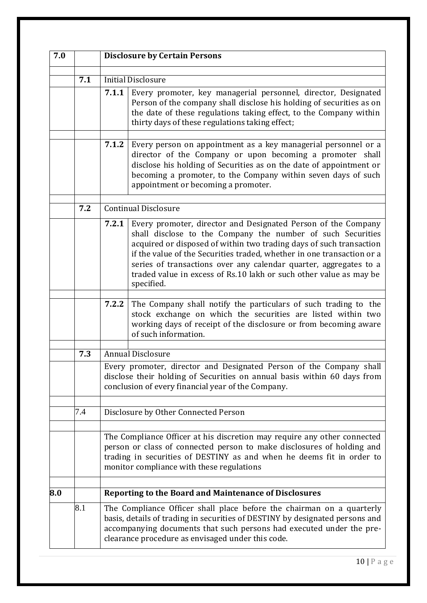| 7.0 |     | <b>Disclosure by Certain Persons</b>                                                                                                                                                                                                                                                                                                                                                                                                            |  |  |  |  |
|-----|-----|-------------------------------------------------------------------------------------------------------------------------------------------------------------------------------------------------------------------------------------------------------------------------------------------------------------------------------------------------------------------------------------------------------------------------------------------------|--|--|--|--|
|     | 7.1 | <b>Initial Disclosure</b><br>7.1.1<br>Every promoter, key managerial personnel, director, Designated<br>Person of the company shall disclose his holding of securities as on<br>the date of these regulations taking effect, to the Company within<br>thirty days of these regulations taking effect;                                                                                                                                           |  |  |  |  |
|     |     | 7.1.2<br>Every person on appointment as a key managerial personnel or a<br>director of the Company or upon becoming a promoter shall<br>disclose his holding of Securities as on the date of appointment or<br>becoming a promoter, to the Company within seven days of such<br>appointment or becoming a promoter.                                                                                                                             |  |  |  |  |
|     | 7.2 | <b>Continual Disclosure</b>                                                                                                                                                                                                                                                                                                                                                                                                                     |  |  |  |  |
|     |     | Every promoter, director and Designated Person of the Company<br>7.2.1<br>shall disclose to the Company the number of such Securities<br>acquired or disposed of within two trading days of such transaction<br>if the value of the Securities traded, whether in one transaction or a<br>series of transactions over any calendar quarter, aggregates to a<br>traded value in excess of Rs.10 lakh or such other value as may be<br>specified. |  |  |  |  |
|     |     | The Company shall notify the particulars of such trading to the<br>7.2.2<br>stock exchange on which the securities are listed within two<br>working days of receipt of the disclosure or from becoming aware<br>of such information.                                                                                                                                                                                                            |  |  |  |  |
|     | 7.3 | <b>Annual Disclosure</b>                                                                                                                                                                                                                                                                                                                                                                                                                        |  |  |  |  |
|     |     | Every promoter, director and Designated Person of the Company shall<br>disclose their holding of Securities on annual basis within 60 days from<br>conclusion of every financial year of the Company.                                                                                                                                                                                                                                           |  |  |  |  |
|     | 7.4 | Disclosure by Other Connected Person                                                                                                                                                                                                                                                                                                                                                                                                            |  |  |  |  |
|     |     | The Compliance Officer at his discretion may require any other connected<br>person or class of connected person to make disclosures of holding and<br>trading in securities of DESTINY as and when he deems fit in order to<br>monitor compliance with these regulations                                                                                                                                                                        |  |  |  |  |
| 8.0 |     | Reporting to the Board and Maintenance of Disclosures                                                                                                                                                                                                                                                                                                                                                                                           |  |  |  |  |
|     | 8.1 | The Compliance Officer shall place before the chairman on a quarterly<br>basis, details of trading in securities of DESTINY by designated persons and<br>accompanying documents that such persons had executed under the pre-<br>clearance procedure as envisaged under this code.                                                                                                                                                              |  |  |  |  |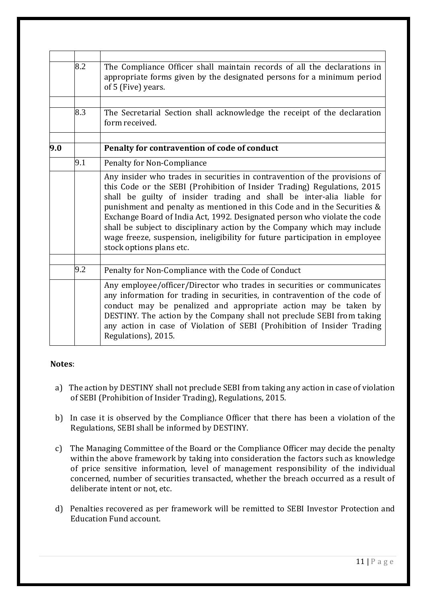|     | 8.2 | The Compliance Officer shall maintain records of all the declarations in<br>appropriate forms given by the designated persons for a minimum period<br>of 5 (Five) years.                                                                                                                                                                                                                                                                                                                                                                                                        |
|-----|-----|---------------------------------------------------------------------------------------------------------------------------------------------------------------------------------------------------------------------------------------------------------------------------------------------------------------------------------------------------------------------------------------------------------------------------------------------------------------------------------------------------------------------------------------------------------------------------------|
|     | 8.3 | The Secretarial Section shall acknowledge the receipt of the declaration<br>form received.                                                                                                                                                                                                                                                                                                                                                                                                                                                                                      |
| 9.0 |     | Penalty for contravention of code of conduct                                                                                                                                                                                                                                                                                                                                                                                                                                                                                                                                    |
|     | 9.1 | Penalty for Non-Compliance                                                                                                                                                                                                                                                                                                                                                                                                                                                                                                                                                      |
|     |     | Any insider who trades in securities in contravention of the provisions of<br>this Code or the SEBI (Prohibition of Insider Trading) Regulations, 2015<br>shall be guilty of insider trading and shall be inter-alia liable for<br>punishment and penalty as mentioned in this Code and in the Securities &<br>Exchange Board of India Act, 1992. Designated person who violate the code<br>shall be subject to disciplinary action by the Company which may include<br>wage freeze, suspension, ineligibility for future participation in employee<br>stock options plans etc. |
|     | 9.2 | Penalty for Non-Compliance with the Code of Conduct                                                                                                                                                                                                                                                                                                                                                                                                                                                                                                                             |
|     |     | Any employee/officer/Director who trades in securities or communicates<br>any information for trading in securities, in contravention of the code of<br>conduct may be penalized and appropriate action may be taken by<br>DESTINY. The action by the Company shall not preclude SEBI from taking<br>any action in case of Violation of SEBI (Prohibition of Insider Trading<br>Regulations), 2015.                                                                                                                                                                             |

- a) The action by DESTINY shall not preclude SEBI from taking any action in case of violation of SEBI (Prohibition of Insider Trading), Regulations, 2015.
- b) In case it is observed by the Compliance Officer that there has been a violation of the Regulations, SEBI shall be informed by DESTINY.
- c) The Managing Committee of the Board or the Compliance Officer may decide the penalty within the above framework by taking into consideration the factors such as knowledge of price sensitive information, level of management responsibility of the individual concerned, number of securities transacted, whether the breach occurred as a result of deliberate intent or not, etc.
- d) Penalties recovered as per framework will be remitted to SEBI Investor Protection and Education Fund account.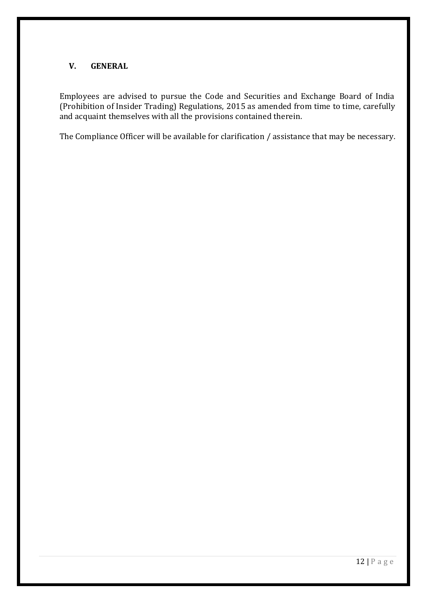# **V. GENERAL**

Employees are advised to pursue the Code and Securities and Exchange Board of India (Prohibition of Insider Trading) Regulations, 2015 as amended from time to time, carefully and acquaint themselves with all the provisions contained therein.

The Compliance Officer will be available for clarification / assistance that may be necessary.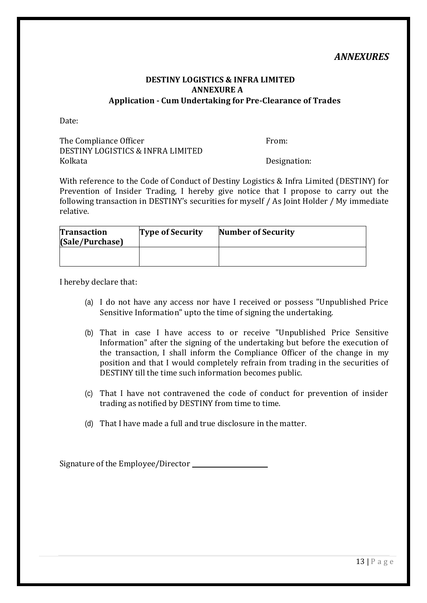# *ANNEXURES*

### **DESTINY LOGISTICS & INFRA LIMITED ANNEXURE A Application - Cum Undertaking for Pre-Clearance of Trades**

Date:

The Compliance Officer The Compliance Officer DESTINY LOGISTICS & INFRA LIMITED Kolkata **Designation:** 

With reference to the Code of Conduct of Destiny Logistics & Infra Limited (DESTINY) for Prevention of Insider Trading, I hereby give notice that I propose to carry out the following transaction in DESTINY's securities for myself / As Joint Holder / My immediate relative.

| <b>Transaction</b><br>(Sale/Purchase) | <b>Type of Security</b> | <b>Number of Security</b> |  |
|---------------------------------------|-------------------------|---------------------------|--|
|                                       |                         |                           |  |

I hereby declare that:

- (a) I do not have any access nor have I received or possess "Unpublished Price Sensitive Information" upto the time of signing the undertaking.
- (b) That in case I have access to or receive "Unpublished Price Sensitive Information" after the signing of the undertaking but before the execution of the transaction, I shall inform the Compliance Officer of the change in my position and that I would completely refrain from trading in the securities of DESTINY till the time such information becomes public.
- (c) That I have not contravened the code of conduct for prevention of insider trading as notified by DESTINY from time to time.
- (d) That I have made a full and true disclosure in the matter.

Signature of the Employee/Director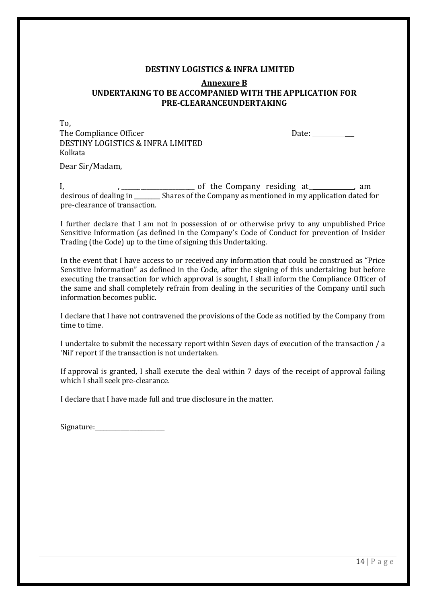#### **DESTINY LOGISTICS & INFRA LIMITED**

### **Annexure B UNDERTAKING TO BE ACCOMPANIED WITH THE APPLICATION FOR PRE-CLEARANCEUNDERTAKING**

To, The Compliance Officer Date: \_\_\_ DESTINY LOGISTICS & INFRA LIMITED Kolkata

Dear Sir/Madam,

I, , \_\_\_\_\_\_\_\_\_\_\_\_\_\_\_\_\_\_\_\_\_\_\_ of the Company residing at\_ , am desirous of dealing in \_\_\_\_\_\_\_\_\_ Shares of the Company as mentioned in my application dated for pre-clearance of transaction.

I further declare that I am not in possession of or otherwise privy to any unpublished Price Sensitive Information (as defined in the Company's Code of Conduct for prevention of Insider Trading (the Code) up to the time of signing this Undertaking.

In the event that I have access to or received any information that could be construed as "Price Sensitive Information" as defined in the Code, after the signing of this undertaking but before executing the transaction for which approval is sought, I shall inform the Compliance Officer of the same and shall completely refrain from dealing in the securities of the Company until such information becomes public.

I declare that I have not contravened the provisions of the Code as notified by the Company from time to time.

I undertake to submit the necessary report within Seven days of execution of the transaction / a 'Nil' report if the transaction is not undertaken.

If approval is granted, I shall execute the deal within 7 days of the receipt of approval failing which I shall seek pre-clearance.

I declare that I have made full and true disclosure in the matter.

Signature:\_\_\_\_\_\_\_\_\_\_\_\_\_\_\_\_\_\_\_\_\_\_\_\_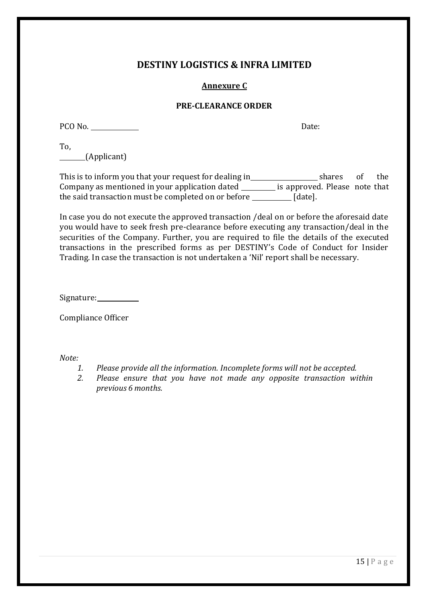# **DESTINY LOGISTICS & INFRA LIMITED**

# **Annexure C**

### **PRE-CLEARANCE ORDER**

PCO No. Date:

To, (Applicant)

This is to inform you that your request for dealing in \_\_\_\_\_\_\_\_\_\_\_\_\_\_\_\_\_\_\_\_\_\_\_shares of the Company as mentioned in your application dated **incole 10 manumical** is approved. Please note that the said transaction must be completed on or before  $\Box$  [date].

In case you do not execute the approved transaction /deal on or before the aforesaid date you would have to seek fresh pre-clearance before executing any transaction/deal in the securities of the Company. Further, you are required to file the details of the executed transactions in the prescribed forms as per DESTINY's Code of Conduct for Insider Trading. In case the transaction is not undertaken a 'Nil' report shall be necessary.

Signature: \_\_\_\_\_\_\_\_\_\_\_

Compliance Officer

- *1. Please provide all the information. Incomplete forms will not be accepted.*
- *2. Please ensure that you have not made any opposite transaction within previous 6 months.*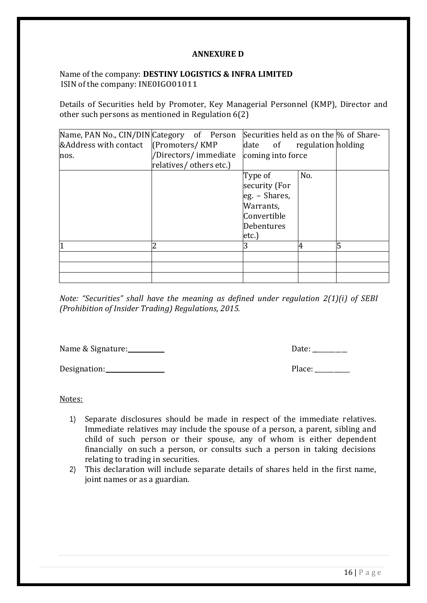# **ANNEXURE D**

# Name of the company: **DESTINY LOGISTICS & INFRA LIMITED** ISIN of the company: **INE0IGO01011**

Details of Securities held by Promoter, Key Managerial Personnel (KMP), Director and other such persons as mentioned in Regulation 6(2)

| Name, PAN No., CIN/DIN Category of Person |                                                  | Securities held as on the % of Share-                                                          |     |   |
|-------------------------------------------|--------------------------------------------------|------------------------------------------------------------------------------------------------|-----|---|
| &Address with contact (Promoters/KMP)     |                                                  | date of regulation holding                                                                     |     |   |
| nos.                                      | /Directors/ immediate<br>relatives/ others etc.) | coming into force                                                                              |     |   |
|                                           |                                                  | Type of<br>security (For<br>$eg. - Shares,$<br>Warrants,<br>Convertible<br>Debentures<br>etc.) | No. |   |
|                                           | 2                                                | 3                                                                                              | 4   | 5 |
|                                           |                                                  |                                                                                                |     |   |
|                                           |                                                  |                                                                                                |     |   |

*Note: "Securities" shall have the meaning as defined under regulation 2(1)(i) of SEBI (Prohibition of Insider Trading) Regulations, 2015.*

Name & Signature: Date: \_\_\_\_\_\_\_\_\_\_\_

Designation: Place: Place: Place: Place: Place: Place: Place: Place: Place: Place: Place: Place: Place: Place: Place: Place: Place: Place: Place: Place: Place: Place: Place: Place: Place: Place: Place: Place: Place: Place:

- 1) Separate disclosures should be made in respect of the immediate relatives. Immediate relatives may include the spouse of a person, a parent, sibling and child of such person or their spouse, any of whom is either dependent financially on such a person, or consults such a person in taking decisions relating to trading in securities.
- 2) This declaration will include separate details of shares held in the first name, joint names or as a guardian.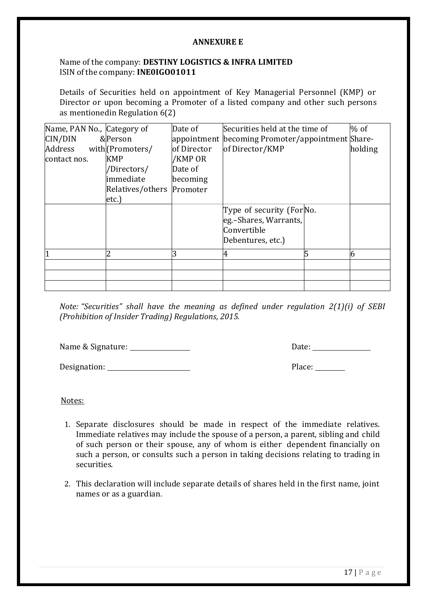### **ANNEXURE E**

# Name of the company: **DESTINY LOGISTICS & INFRA LIMITED** ISIN of the company: **INE0IGO01011**

Details of Securities held on appointment of Key Managerial Personnel (KMP) or Director or upon becoming a Promoter of a listed company and other such persons as mentionedin Regulation 6(2)

| Name, PAN No., Category of |                  | Date of     | Securities held at the time of                   |   | $%$ of  |
|----------------------------|------------------|-------------|--------------------------------------------------|---|---------|
| CIN/DIN                    | &Person          |             | appointment becoming Promoter/appointment Share- |   |         |
| Address                    | with (Promoters/ | of Director | of Director/KMP                                  |   | holding |
| contact nos.               | <b>KMP</b>       | /KMP OR     |                                                  |   |         |
|                            | /Directors/      | Date of     |                                                  |   |         |
|                            | limmediate       | becoming    |                                                  |   |         |
|                            | Relatives/others | Promoter    |                                                  |   |         |
|                            | etc.             |             |                                                  |   |         |
|                            |                  |             | Type of security (For No.                        |   |         |
|                            |                  |             | eg.–Shares, Warrants,                            |   |         |
|                            |                  |             | Convertible                                      |   |         |
|                            |                  |             | Debentures, etc.)                                |   |         |
|                            |                  | 3           | 4                                                | 5 | 6       |
|                            |                  |             |                                                  |   |         |
|                            |                  |             |                                                  |   |         |
|                            |                  |             |                                                  |   |         |

*Note: "Securities" shall have the meaning as defined under regulation 2(1)(i) of SEBI (Prohibition of Insider Trading) Regulations, 2015.*

Name & Signature: Date:

Designation: Place:

- 1. Separate disclosures should be made in respect of the immediate relatives. Immediate relatives may include the spouse of a person, a parent, sibling and child of such person or their spouse, any of whom is either dependent financially on such a person, or consults such a person in taking decisions relating to trading in securities.
- 2. This declaration will include separate details of shares held in the first name, joint names or as a guardian.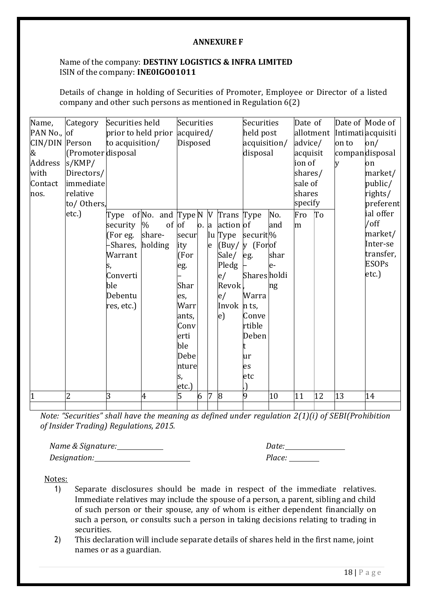### **ANNEXURE F**

# Name of the company: **DESTINY LOGISTICS & INFRA LIMITED** ISIN of the company: **INE0IGO01011**

Details of change in holding of Securities of Promoter, Employee or Director of a listed company and other such persons as mentioned in Regulation 6(2)

| Name,<br>PAN No., $of$<br>CIN/DIN Person<br>&<br>Address<br>with<br>Contact<br>nos. | Category<br>(Promoter disposal<br>s/KMP/<br>Directors/<br>immediate<br>relative<br>to/ Others, | Securities held<br>prior to held prior<br>to acquisition/                                                                                      | Securities<br>acquired/<br>Disposed |                                                                                                                    |                      |                | Securities<br>held post<br>acquisition/<br>disposal                                               |                                                                                                                          | Date of<br>allotment<br>advice/<br>acquisit<br>ion of<br>shares/<br>sale of<br>shares<br>specify |          | on to<br>y | Date of Mode of<br>Intimatiacquisiti<br>$\alpha$<br>compandisposal<br>on<br>market/<br>public/<br>rights/<br>preferent |                                                                                      |
|-------------------------------------------------------------------------------------|------------------------------------------------------------------------------------------------|------------------------------------------------------------------------------------------------------------------------------------------------|-------------------------------------|--------------------------------------------------------------------------------------------------------------------|----------------------|----------------|---------------------------------------------------------------------------------------------------|--------------------------------------------------------------------------------------------------------------------------|--------------------------------------------------------------------------------------------------|----------|------------|------------------------------------------------------------------------------------------------------------------------|--------------------------------------------------------------------------------------|
|                                                                                     | etc.)                                                                                          | Type $of No.$ and Type N  V Trans Type<br>security<br>(For eg.<br>Shares, holding<br>Warrant<br>S,<br>Converti<br>ble<br>Debentu<br>res, etc.) | $of$ of<br>$\%$<br>share-           | secur<br>ity<br>(For<br>eg.<br>Shar<br>es,<br>Warr<br>ants,<br>Conv<br>erti<br>ble<br>Debe<br>nture<br>s,<br>etc.) | $\vert$ o. $\vert$ a | e              | action of<br>lu Type<br>(Buy)<br>Sale/<br>Pledg<br>e/<br>Revok<br>e/<br>Invok n ts,<br>$\vert e)$ | securit <sup>[%]</sup><br>y (Forof<br>eg.<br><b>Shares</b> holdi<br>Warra<br>Conve<br>rtible<br>Deben<br>ur<br>es<br>etc | No.<br>and<br>shar<br>le-<br>ng                                                                  | Fro<br>m | To         |                                                                                                                        | ial offer<br>$/$ off<br>market/<br>Inter-se<br>transfer,<br><b>ESOPs</b><br>$etc.$ ) |
|                                                                                     | $\overline{2}$                                                                                 | 3                                                                                                                                              | $\overline{4}$                      | 5                                                                                                                  | 6                    | $\overline{7}$ | 8                                                                                                 | 9                                                                                                                        | 10                                                                                               | 11       | 12         | 13                                                                                                                     | 14                                                                                   |

*Note: "Securities" shall have the meaning as defined under regulation 2(1)(i) of SEBI(Prohibition of Insider Trading) Regulations, 2015.*

*Name & Signature: Date: Designation: Place:*

- 1) Separate disclosures should be made in respect of the immediate relatives. Immediate relatives may include the spouse of a person, a parent, sibling and child of such person or their spouse, any of whom is either dependent financially on such a person, or consults such a person in taking decisions relating to trading in securities.
- 2) This declaration will include separate details of shares held in the first name, joint names or as a guardian.